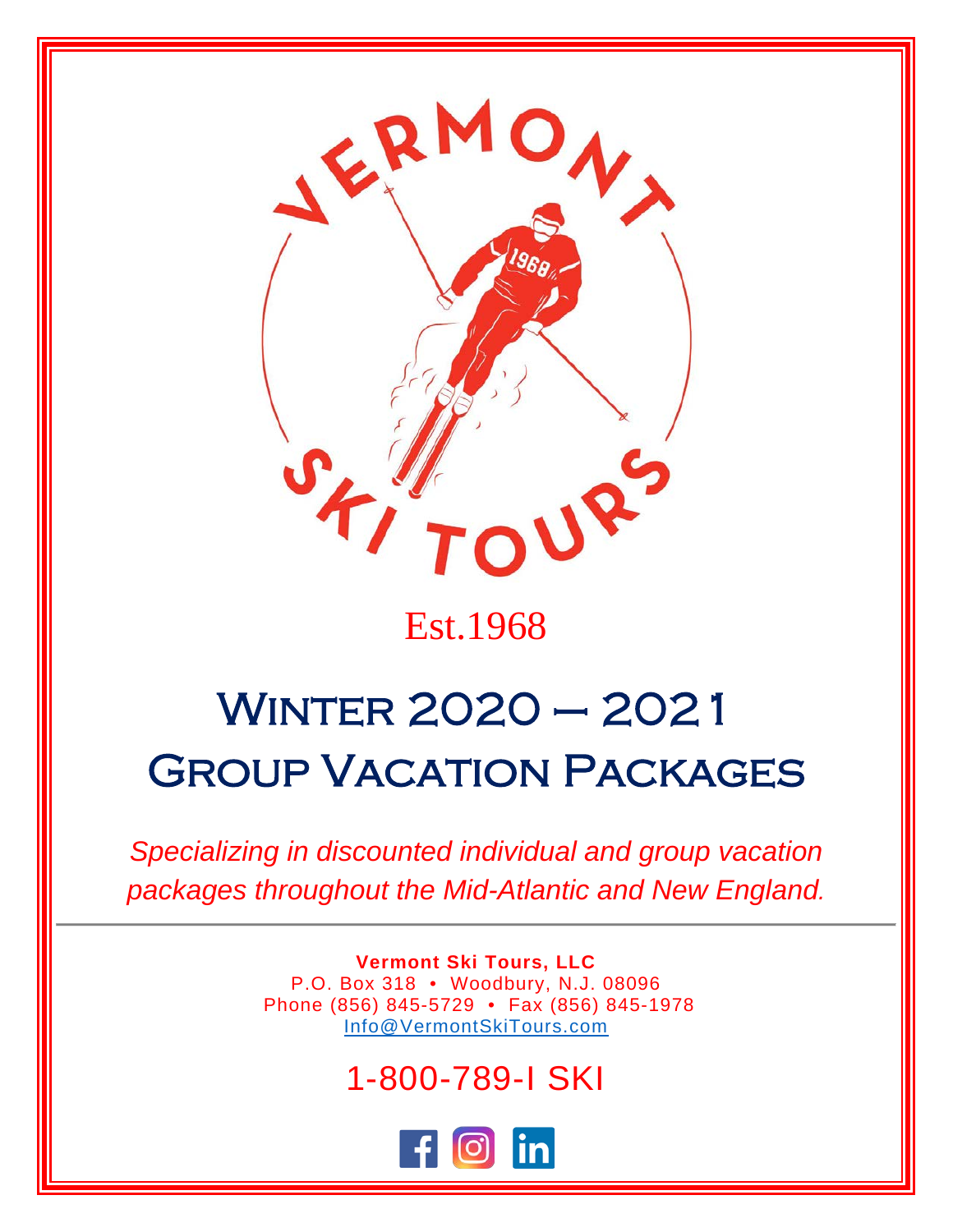

## Est.1968

# Winter 2020 – 2021 Group Vacation Packages

*Specializing in discounted individual and group vacation packages throughout the Mid-Atlantic and New England.*

> **Vermont Ski Tours, LLC** P.O. Box 318 • Woodbury, N.J. 08096 Phone (856) 845-5729 • Fax (856) 845-1978 [Info@VermontSkiTours.com](mailto:Info@VermontSkiTours.com)

## 1-800-789-I SKI

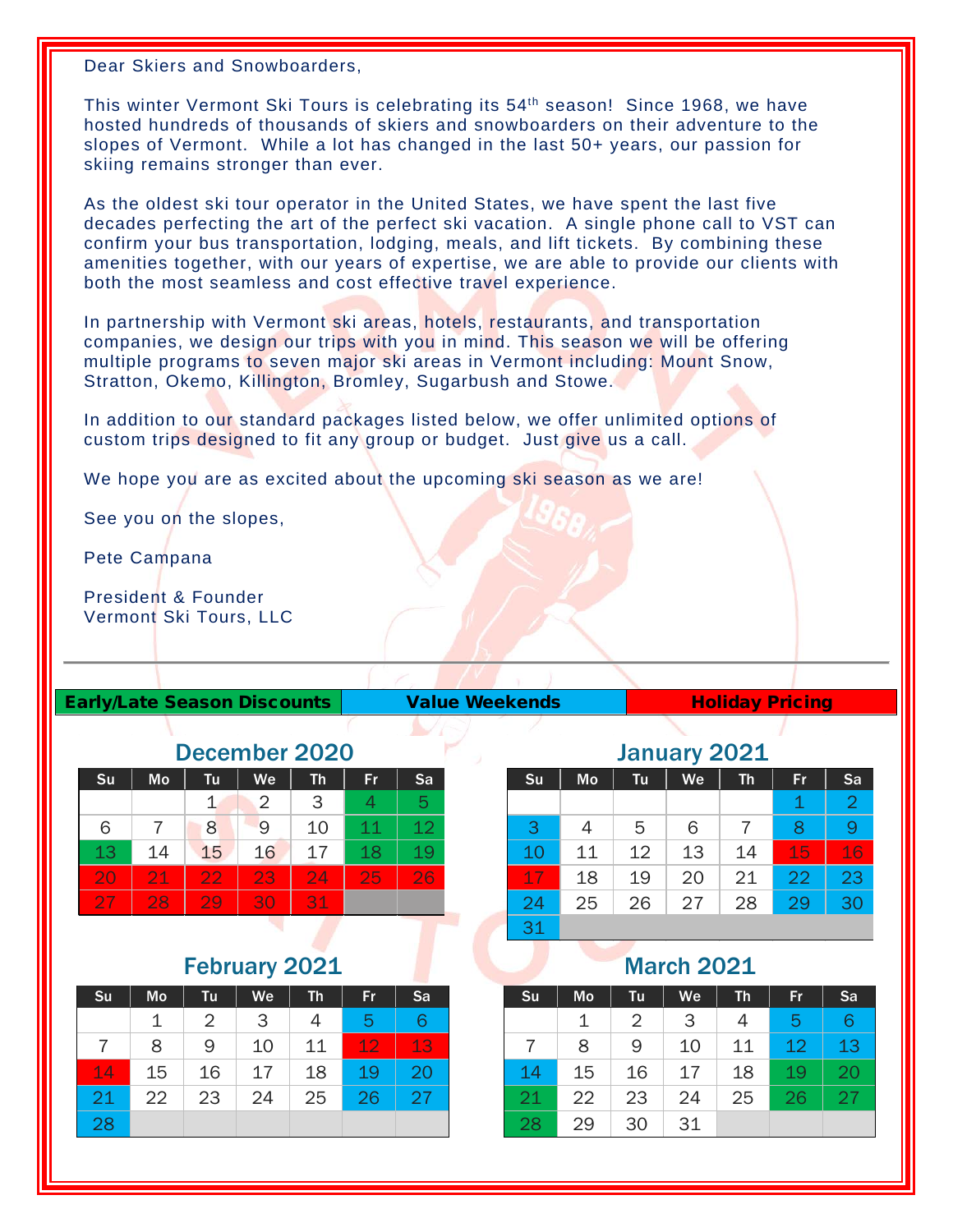Dear Skiers and Snowboarders,

This winter Vermont Ski Tours is celebrating its 54th season! Since 1968, we have hosted hundreds of thousands of skiers and snowboarders on their adventure to the slopes of Vermont. While a lot has changed in the last 50+ years, our passion for skiing remains stronger than ever.

As the oldest ski tour operator in the United States, we have spent the last five decades perfecting the art of the perfect ski vacation. A single phone call to VST can confirm your bus transportation, lodging, meals, and lift tickets. By combining these amenities together, with our years of expertise, we are able to provide our clients with both the most seamless and cost effective travel experience.

In partnership with Vermont ski areas, hotels, restaurants, and transportation companies, we design our trips with you in mind. This season we will be offering multiple programs to seven major ski areas in Vermont including: Mount Snow, Stratton, Okemo, Killington, Bromley, Sugarbush and Stowe.

In addition to our standard packages listed below, we offer unlimited options of custom trips designed to fit any group or budget. Just give us a call.

We hope you are as excited about the upcoming ski season as we are!

See you on the slopes,

Pete Campana

President & Founder Vermont Ski Tours, LLC

#### Early/Late Season Discounts | Value Weekends | Holiday Pricing

| December 2020 |    |    |    |    |    |    |  |  |
|---------------|----|----|----|----|----|----|--|--|
| Su            | Mo | Tu | We | Th | Fr | Sa |  |  |
|               |    |    | 2  | 3  |    | 5  |  |  |
| 6             |    | 8  | 9  | 10 | 11 | 12 |  |  |
| 13            | 14 | 15 | 16 | 17 | 18 | 19 |  |  |
| 20            | 21 | 22 | 23 | 24 | 25 | 26 |  |  |
| <b>27</b>     | 28 | 29 | 30 | 31 |    |    |  |  |

#### February 2021

| Su | Mo | Tu | We | <b>Th</b> | Fr | Sa |
|----|----|----|----|-----------|----|----|
|    | 1  | 2  | 3  | 4         | 5  | 6  |
| 7  | 8  | 9  | 10 | 11        | 12 | 13 |
| 14 | 15 | 16 | 17 | 18        | 19 | 20 |
| 21 | 22 | 23 | 24 | 25        | 26 | 27 |
| 28 |    |    |    |           |    |    |

#### January 2021

| $J$ unuury avaa |                |    |    |           |             |                |  |
|-----------------|----------------|----|----|-----------|-------------|----------------|--|
| Su              | Mo             | Tu | We | <b>Th</b> | Fr          | Sa             |  |
|                 |                |    |    |           | $\mathbf 1$ | $\overline{2}$ |  |
| 3               | $\overline{4}$ | 5  | 6  | 7         | 8           |                |  |
| 10              | 11             | 12 | 13 | 14        | 15          | 16             |  |
| 17              | 18             | 19 | 20 | 21        | 22          | 23             |  |
| 24              | 25             | 26 | 27 | 28        | 29          | 30             |  |
| 31              |                |    |    |           |             |                |  |

#### March 2021

| Su | Mo | Tu | We | Th | Fr | Sa |
|----|----|----|----|----|----|----|
|    |    | 2  | 3  | 4  | 5  | 6  |
|    | 8  | 9  | 10 | 11 | 12 | 13 |
| 14 | 15 | 16 | 17 | 18 | 19 | 20 |
| 21 | 22 | 23 | 24 | 25 | 26 | 27 |
| 28 | 29 | 30 | 31 |    |    |    |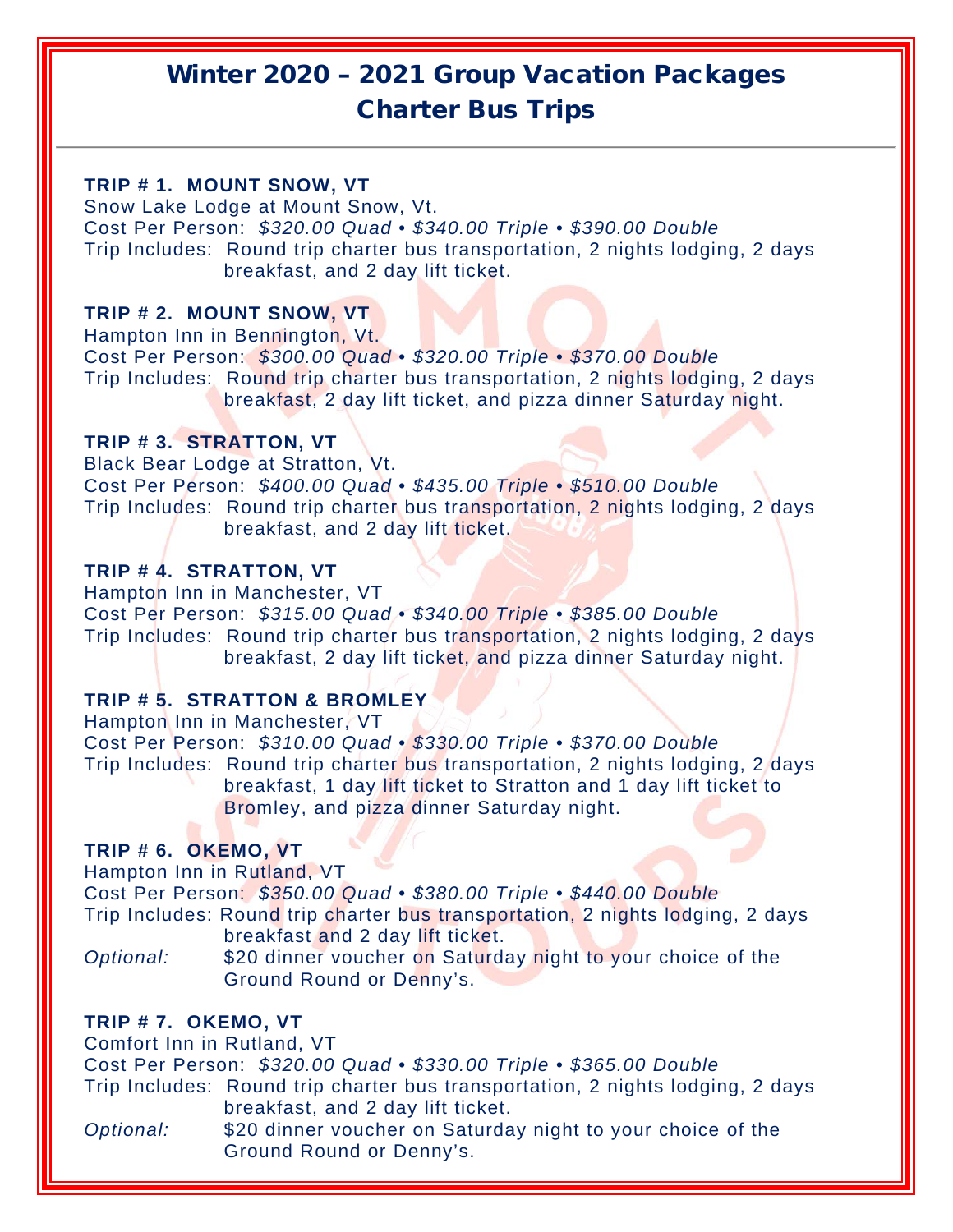### Winter 2020 – 2021 Group Vacation Packages Charter Bus Trips

#### **TRIP # 1. MOUNT SNOW, VT**

Snow Lake Lodge at Mount Snow, Vt. Cost Per Person: *\$320.00 Quad • \$340.00 Triple • \$390.00 Double* Trip Includes: Round trip charter bus transportation, 2 nights lodging, 2 days breakfast, and 2 day lift ticket.

#### **TRIP # 2. MOUNT SNOW, VT**

Hampton Inn in Bennington, Vt. Cost Per Person: *\$300.00 Quad • \$320.00 Triple • \$370.00 Double* Trip Includes: Round trip charter bus transportation, 2 nights lodging, 2 days breakfast, 2 day lift ticket, and pizza dinner Saturday night.

#### **TRIP # 3. STRATTON, VT**

Black Bear Lodge at Stratton, Vt. Cost Per Person: *\$400.00 Quad • \$435.00 Triple • \$510.00 Double* Trip Includes: Round trip charter bus transportation, 2 nights lodging, 2 days breakfast, and 2 day lift ticket.

#### **TRIP # 4. STRATTON, VT**

Hampton Inn in Manchester, VT Cost Per Person: *\$315.00 Quad • \$340.00 Triple • \$385.00 Double* Trip Includes: Round trip charter bus transportation, 2 nights lodging, 2 days breakfast, 2 day lift ticket, and pizza dinner Saturday night.

#### **TRIP # 5. STRATTON & BROMLEY**

Hampton Inn in Manchester, VT Cost Per Person: *\$310.00 Quad • \$330.00 Triple • \$370.00 Double* Trip Includes: Round trip charter bus transportation, 2 nights lodging, 2 days breakfast, 1 day lift ticket to Stratton and 1 day lift ticket to Bromley, and pizza dinner Saturday night.

#### **TRIP # 6. OKEMO, VT**

Hampton Inn in Rutland, VT Cost Per Person: *\$350.00 Quad • \$380.00 Triple • \$440.00 Double* Trip Includes: Round trip charter bus transportation, 2 nights lodging, 2 days breakfast and 2 day lift ticket.

*Optional:* \$20 dinner voucher on Saturday night to your choice of the Ground Round or Denny's.

#### **TRIP # 7. OKEMO, VT**

Comfort Inn in Rutland, VT

Cost Per Person: *\$320.00 Quad • \$330.00 Triple • \$365.00 Double*

Trip Includes: Round trip charter bus transportation, 2 nights lodging, 2 days breakfast, and 2 day lift ticket.

*Optional:* \$20 dinner voucher on Saturday night to your choice of the Ground Round or Denny's.